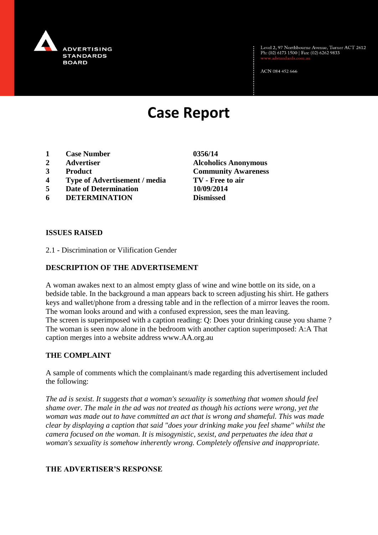

Level 2, 97 Northbourne Avenue, Turner ACT 2612<br>Ph: (02) 6173 1500 | Fax: (02) 6262 9833

ACN 084 452 666

# **Case Report**

- **1 Case Number 0356/14**
- 
- 
- **4 Type of Advertisement / media TV - Free to air**
- **5 Date of Determination 10/09/2014**
- **6 DETERMINATION Dismissed**

**2 Advertiser Alcoholics Anonymous 3 Product Community Awareness**

#### **ISSUES RAISED**

2.1 - Discrimination or Vilification Gender

## **DESCRIPTION OF THE ADVERTISEMENT**

A woman awakes next to an almost empty glass of wine and wine bottle on its side, on a bedside table. In the background a man appears back to screen adjusting his shirt. He gathers keys and wallet/phone from a dressing table and in the reflection of a mirror leaves the room. The woman looks around and with a confused expression, sees the man leaving. The screen is superimposed with a caption reading: Q: Does your drinking cause you shame ? The woman is seen now alone in the bedroom with another caption superimposed: A:A That caption merges into a website address www.AA.org.au

## **THE COMPLAINT**

A sample of comments which the complainant/s made regarding this advertisement included the following:

*The ad is sexist. It suggests that a woman's sexuality is something that women should feel shame over. The male in the ad was not treated as though his actions were wrong, yet the woman was made out to have committed an act that is wrong and shameful. This was made clear by displaying a caption that said "does your drinking make you feel shame" whilst the camera focused on the woman. It is misogynistic, sexist, and perpetuates the idea that a woman's sexuality is somehow inherently wrong. Completely offensive and inappropriate.*

## **THE ADVERTISER'S RESPONSE**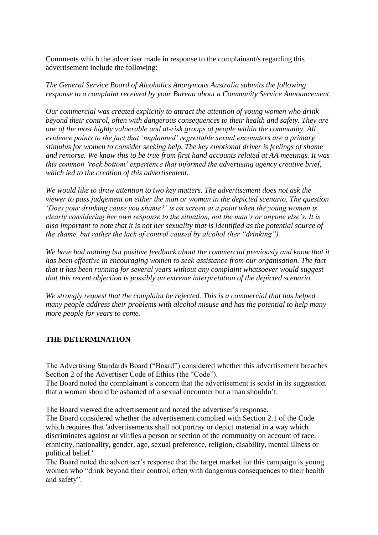Comments which the advertiser made in response to the complainant/s regarding this advertisement include the following:

*The General Service Board of Alcoholics Anonymous Australia submits the following response to a complaint received by your Bureau about a Community Service Announcement.*

*Our commercial was created explicitly to attract the attention of young women who drink beyond their control, often with dangerous consequences to their health and safety. They are one of the most highly vulnerable and at-risk groups of people within the community. All evidence points to the fact that 'unplanned' regrettable sexual encounters are a primary stimulus for women to consider seeking help. The key emotional driver is feelings of shame and remorse. We know this to be true from first hand accounts related at AA meetings. It was this common 'rock bottom' experience that informed the advertising agency creative brief, which led to the creation of this advertisement.*

*We would like to draw attention to two key matters. The advertisement does not ask the viewer to pass judgement on either the man or woman in the depicted scenario. The question 'Does your drinking cause you shame?' is on screen at a point when the young woman is clearly considering her own response to the situation, not the man's or anyone else's. It is also important to note that it is not her sexuality that is identified as the potential source of the shame, but rather the lack of control caused by alcohol (her "drinking").*

We have had nothing but positive feedback about the commercial previously and know that it *has been effective in encouraging women to seek assistance from our organisation. The fact that it has been running for several years without any complaint whatsoever would suggest that this recent objection is possibly an extreme interpretation of the depicted scenario.*

*We strongly request that the complaint be rejected. This is a commercial that has helped many people address their problems with alcohol misuse and has the potential to help many more people for years to come.*

## **THE DETERMINATION**

The Advertising Standards Board ("Board") considered whether this advertisement breaches Section 2 of the Advertiser Code of Ethics (the "Code").

The Board noted the complainant's concern that the advertisement is sexist in its suggestion that a woman should be ashamed of a sexual encounter but a man shouldn't.

The Board viewed the advertisement and noted the advertiser's response.

The Board considered whether the advertisement complied with Section 2.1 of the Code which requires that 'advertisements shall not portray or depict material in a way which discriminates against or vilifies a person or section of the community on account of race, ethnicity, nationality, gender, age, sexual preference, religion, disability, mental illness or political belief.'

The Board noted the advertiser's response that the target market for this campaign is young women who "drink beyond their control, often with dangerous consequences to their health and safety".